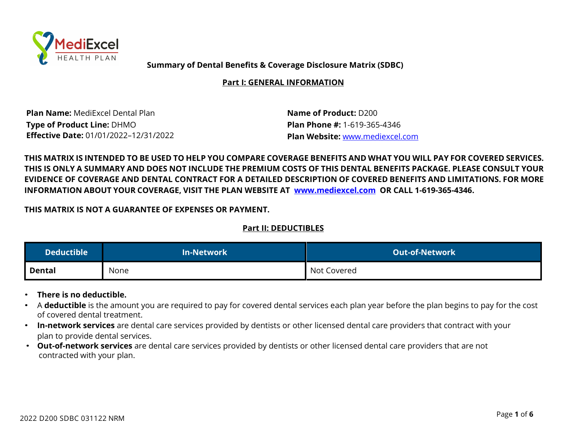

**Summary of Dental Benefits & Coverage Disclosure Matrix (SDBC)**

**Part I: GENERAL INFORMATION**

**Plan Name:** MediExcel Dental Plan **Name of Product:** D200 **Type of Product Line:** DHMO **Plan Phone #:** 1-619-365-4346 **Effective Date:** 01/01/2022–12/31/2022 **Plan Website:** www.mediexcel.com

THIS MATRIX IS INTENDED TO BE USED TO HELP YOU COMPARE COVERAGE BENEFITS AND WHAT YOU WILL PAY FOR COVERED SERVICES. THIS IS ONLY A SUMMARY AND DOES NOT INCLUDE THE PREMIUM COSTS OF THIS DENTAL BENEFITS PACKAGE. PLEASE CONSULT YOUR EVIDENCE OF COVERAGE AND DENTAL CONTRACT FOR A DETAILED DESCRIPTION OF COVERED BENEFITS AND LIMITATIONS. FOR MORE **INFORMATION ABOUT YOUR COVERAGE, VISIT THE PLAN WEBSITE AT www.mediexcel.com OR CALL 1-619-365-4346.**

**THIS MATRIX IS NOT A GUARANTEE OF EXPENSES OR PAYMENT.**

# **Part II: DEDUCTIBLES**

| Deductible $^{\rm !}$ | <b>In-Network</b> | LOut-of-Network <sup>\</sup> |
|-----------------------|-------------------|------------------------------|
| Dental                | None              | Not Covered                  |

- **There is no deductible.**
- A **deductible** is the amount you are required to pay for covered dental services each plan year before the plan begins to pay for the cost of covered dental treatment.
- **In-network services** are dental care services provided by dentists or other licensed dental care providers that contract with your plan to provide dental services.
- **Out-of-network services** are dental care services provided by dentists or other licensed dental care providers that are not contracted with your plan.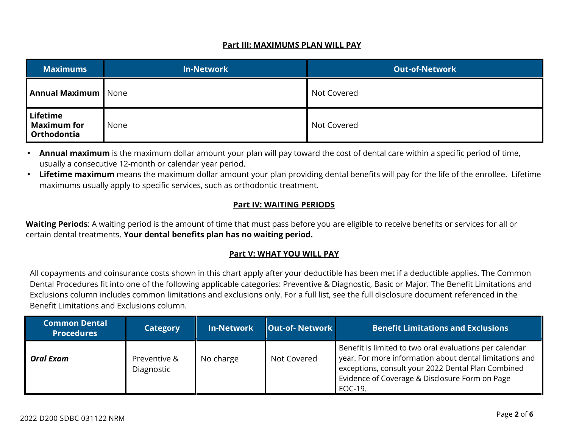### **Part III: MAXIMUMS PLAN WILL PAY**

| <b>Maximums</b>                               | <b>In-Network</b> | <b>Out-of-Network</b> |
|-----------------------------------------------|-------------------|-----------------------|
| <b>Annual Maximum</b> None                    |                   | Not Covered           |
| Lifetime<br><b>Maximum for</b><br>Orthodontia | None              | Not Covered           |

 **Annual maximum** is the maximum dollar amount your plan will pay toward the cost of dental care within a specific period of time, usually a consecutive 12-month or calendar year period.

 **Lifetime maximum** means the maximum dollar amount your plan providing dental benefits will pay for the life of the enrollee. Lifetime maximums usually apply to specific services, such as orthodontic treatment.

# **Part IV: WAITING PERIODS**

**Waiting Periods**: A waiting period is the amount of time that must pass before you are eligible to receive benefits or services for all or certain dental treatments. **Your dental benefits plan has no waiting period.**

# **Part V: WHAT YOU WILL PAY**

All copayments and coinsurance costs shown in this chart apply after your deductible has been met if a deductible applies. The Common Dental Procedures fit into one of the following applicable categories: Preventive & Diagnostic, Basic or Major. The Benefit Limitations and Exclusions column includes common limitations and exclusions only. For a full list, see the full disclosure document referenced in the Benefit Limitations and Exclusions column.

| <b>Common Dental</b><br><b>Procedures</b> | <b>Category</b>            | <b>In-Network</b> | <b>Out-of-Network</b> | <b>Benefit Limitations and Exclusions</b>                                                                                                                                                                                             |
|-------------------------------------------|----------------------------|-------------------|-----------------------|---------------------------------------------------------------------------------------------------------------------------------------------------------------------------------------------------------------------------------------|
| <b>Oral Exam</b>                          | Preventive &<br>Diagnostic | No charge         | Not Covered           | Benefit is limited to two oral evaluations per calendar<br>year. For more information about dental limitations and<br>exceptions, consult your 2022 Dental Plan Combined<br>Evidence of Coverage & Disclosure Form on Page<br>EOC-19. |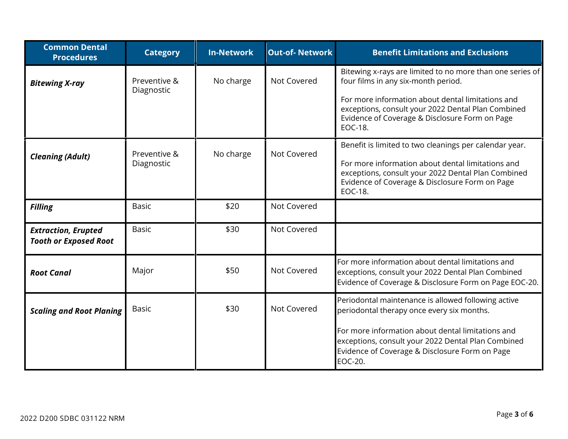| <b>Common Dental</b><br><b>Procedures</b>                  | <b>Category</b>            | <b>In-Network</b> | <b>Out-of-Network</b> | <b>Benefit Limitations and Exclusions</b>                                                                                                                                   |
|------------------------------------------------------------|----------------------------|-------------------|-----------------------|-----------------------------------------------------------------------------------------------------------------------------------------------------------------------------|
| <b>Bitewing X-ray</b>                                      | Preventive &<br>Diagnostic | No charge         | Not Covered           | Bitewing x-rays are limited to no more than one series of<br>four films in any six-month period.                                                                            |
|                                                            |                            |                   |                       | For more information about dental limitations and<br>exceptions, consult your 2022 Dental Plan Combined<br>Evidence of Coverage & Disclosure Form on Page<br>EOC-18.        |
|                                                            | Preventive &               | No charge         | Not Covered           | Benefit is limited to two cleanings per calendar year.                                                                                                                      |
| <b>Cleaning (Adult)</b>                                    | Diagnostic                 |                   |                       | For more information about dental limitations and<br>exceptions, consult your 2022 Dental Plan Combined<br>Evidence of Coverage & Disclosure Form on Page<br><b>EOC-18.</b> |
| <b>Filling</b>                                             | <b>Basic</b>               | \$20              | Not Covered           |                                                                                                                                                                             |
| <b>Extraction, Erupted</b><br><b>Tooth or Exposed Root</b> | <b>Basic</b>               | \$30              | Not Covered           |                                                                                                                                                                             |
| <b>Root Canal</b>                                          | Major                      | \$50              | Not Covered           | For more information about dental limitations and<br>exceptions, consult your 2022 Dental Plan Combined<br>Evidence of Coverage & Disclosure Form on Page EOC-20.           |
| <b>Scaling and Root Planing</b>                            | <b>Basic</b>               | \$30              | Not Covered           | Periodontal maintenance is allowed following active<br>periodontal therapy once every six months.                                                                           |
|                                                            |                            |                   |                       | For more information about dental limitations and<br>exceptions, consult your 2022 Dental Plan Combined<br>Evidence of Coverage & Disclosure Form on Page<br><b>EOC-20.</b> |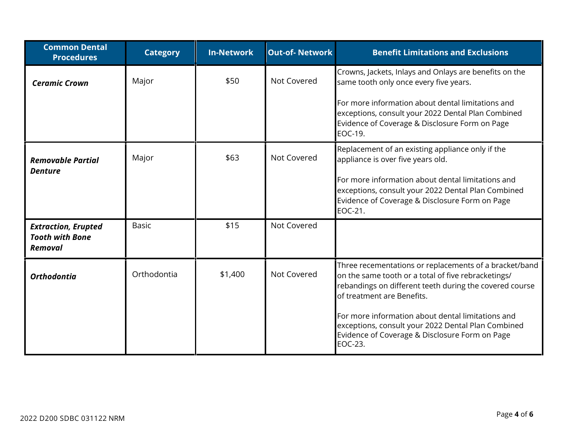| <b>Common Dental</b><br><b>Procedures</b>                              | <b>Category</b> | <b>In-Network</b> | <b>Out-of-Network</b> | <b>Benefit Limitations and Exclusions</b>                                                                                                                                                              |
|------------------------------------------------------------------------|-----------------|-------------------|-----------------------|--------------------------------------------------------------------------------------------------------------------------------------------------------------------------------------------------------|
| <b>Ceramic Crown</b>                                                   | Major           | \$50              | Not Covered           | Crowns, Jackets, Inlays and Onlays are benefits on the<br>same tooth only once every five years.                                                                                                       |
|                                                                        |                 |                   |                       | For more information about dental limitations and<br>exceptions, consult your 2022 Dental Plan Combined<br>Evidence of Coverage & Disclosure Form on Page<br>EOC-19.                                   |
| <b>Removable Partial</b><br><b>Denture</b>                             | Major           | \$63              | Not Covered           | Replacement of an existing appliance only if the<br>appliance is over five years old.                                                                                                                  |
|                                                                        |                 |                   |                       | For more information about dental limitations and<br>exceptions, consult your 2022 Dental Plan Combined<br>Evidence of Coverage & Disclosure Form on Page<br>EOC-21.                                   |
| <b>Extraction, Erupted</b><br><b>Tooth with Bone</b><br><b>Removal</b> | <b>Basic</b>    | \$15              | Not Covered           |                                                                                                                                                                                                        |
| <b>Orthodontia</b>                                                     | Orthodontia     | \$1,400           | Not Covered           | Three recementations or replacements of a bracket/band<br>on the same tooth or a total of five rebracketings/<br>rebandings on different teeth during the covered course<br>of treatment are Benefits. |
|                                                                        |                 |                   |                       | For more information about dental limitations and<br>exceptions, consult your 2022 Dental Plan Combined<br>Evidence of Coverage & Disclosure Form on Page<br>EOC-23.                                   |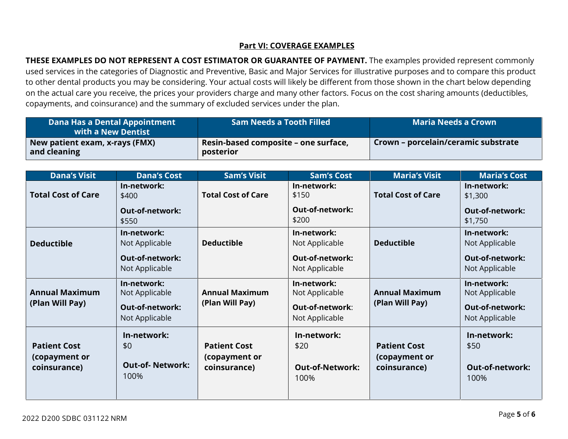## **Part VI: COVERAGE EXAMPLES**

**THESE EXAMPLES DO NOT REPRESENT A COST ESTIMATOR OR GUARANTEE OF PAYMENT.** The examples provided represent commonly used services in the categories of Diagnostic and Preventive, Basic and Major Services for illustrative purposes and to compare this product to other dental products you may be considering. Your actual costs will likely be different from those shown in the chart below depending on the actual care you receive, the prices your providers charge and many other factors. Focus on the cost sharing amounts (deductibles, copayments, and coinsurance) and the summary of excluded services under the plan.

| Dana Has a Dental Appointment<br>with a New Dentist | <b>Sam Needs a Tooth Filled</b>                   | Maria Needs a Crown                 |
|-----------------------------------------------------|---------------------------------------------------|-------------------------------------|
| New patient exam, x-rays (FMX)<br>and cleaning      | Resin-based composite – one surface,<br>posterior | Crown – porcelain/ceramic substrate |

| <b>Dana's Visit</b>                                  | <b>Dana's Cost</b>                                   | <b>Sam's Visit</b>                                   | <b>Sam's Cost</b>                                     | <b>Maria's Visit</b>                                 | <b>Maria's Cost</b>                                   |
|------------------------------------------------------|------------------------------------------------------|------------------------------------------------------|-------------------------------------------------------|------------------------------------------------------|-------------------------------------------------------|
| <b>Total Cost of Care</b>                            | In-network:<br>\$400                                 | <b>Total Cost of Care</b>                            | In-network:<br>\$150                                  | <b>Total Cost of Care</b>                            | In-network:<br>\$1,300                                |
|                                                      | <b>Out-of-network:</b><br>\$550                      |                                                      | <b>Out-of-network:</b><br>\$200                       |                                                      | <b>Out-of-network:</b><br>\$1,750                     |
| <b>Deductible</b>                                    | In-network:<br>Not Applicable                        | <b>Deductible</b>                                    | In-network:<br>Not Applicable                         | <b>Deductible</b>                                    | In-network:<br>Not Applicable                         |
|                                                      | <b>Out-of-network:</b><br>Not Applicable             |                                                      | <b>Out-of-network:</b><br>Not Applicable              |                                                      | <b>Out-of-network:</b><br>Not Applicable              |
| <b>Annual Maximum</b>                                | In-network:<br>Not Applicable                        | <b>Annual Maximum</b>                                | In-network:<br>Not Applicable                         | <b>Annual Maximum</b>                                | In-network:<br>Not Applicable                         |
| (Plan Will Pay)                                      | <b>Out-of-network:</b><br>Not Applicable             | (Plan Will Pay)                                      | Out-of-network:<br>Not Applicable                     | (Plan Will Pay)                                      | <b>Out-of-network:</b><br>Not Applicable              |
| <b>Patient Cost</b><br>(copayment or<br>coinsurance) | In-network:<br>\$0<br><b>Out-of-Network:</b><br>100% | <b>Patient Cost</b><br>(copayment or<br>coinsurance) | In-network:<br>\$20<br><b>Out-of-Network:</b><br>100% | <b>Patient Cost</b><br>(copayment or<br>coinsurance) | In-network:<br>\$50<br><b>Out-of-network:</b><br>100% |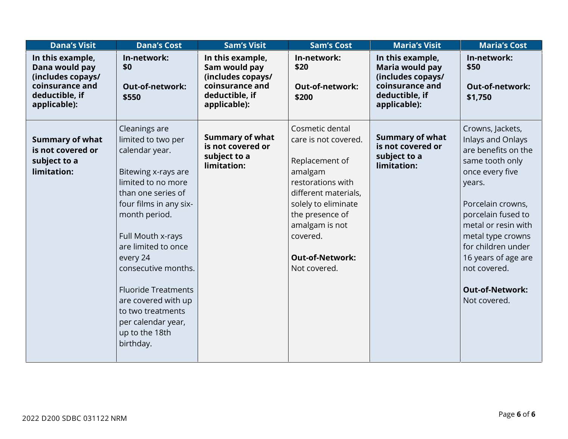| <b>Dana's Visit</b>                                                                                          | <b>Dana's Cost</b>                                                                                                                                                                                                                                                                                                                                                                | <b>Sam's Visit</b>                                                                                          | <b>Sam's Cost</b>                                                                                                                                                                                                                   | <b>Maria's Visit</b>                                                                                          | <b>Maria's Cost</b>                                                                                                                                                                                                                                                                                        |
|--------------------------------------------------------------------------------------------------------------|-----------------------------------------------------------------------------------------------------------------------------------------------------------------------------------------------------------------------------------------------------------------------------------------------------------------------------------------------------------------------------------|-------------------------------------------------------------------------------------------------------------|-------------------------------------------------------------------------------------------------------------------------------------------------------------------------------------------------------------------------------------|---------------------------------------------------------------------------------------------------------------|------------------------------------------------------------------------------------------------------------------------------------------------------------------------------------------------------------------------------------------------------------------------------------------------------------|
| In this example,<br>Dana would pay<br>(includes copays/<br>coinsurance and<br>deductible, if<br>applicable): | In-network:<br>\$0<br>Out-of-network:<br>\$550                                                                                                                                                                                                                                                                                                                                    | In this example,<br>Sam would pay<br>(includes copays/<br>coinsurance and<br>deductible, if<br>applicable): | In-network:<br>\$20<br><b>Out-of-network:</b><br>\$200                                                                                                                                                                              | In this example,<br>Maria would pay<br>(includes copays/<br>coinsurance and<br>deductible, if<br>applicable): | In-network:<br>\$50<br><b>Out-of-network:</b><br>\$1,750                                                                                                                                                                                                                                                   |
| <b>Summary of what</b><br>is not covered or<br>subject to a<br>limitation:                                   | Cleanings are<br>limited to two per<br>calendar year.<br>Bitewing x-rays are<br>limited to no more<br>than one series of<br>four films in any six-<br>month period.<br>Full Mouth x-rays<br>are limited to once<br>every 24<br>consecutive months.<br><b>Fluoride Treatments</b><br>are covered with up<br>to two treatments<br>per calendar year,<br>up to the 18th<br>birthday. | <b>Summary of what</b><br>is not covered or<br>subject to a<br>limitation:                                  | Cosmetic dental<br>care is not covered.<br>Replacement of<br>amalgam<br>restorations with<br>different materials,<br>solely to eliminate<br>the presence of<br>amalgam is not<br>covered.<br><b>Out-of-Network:</b><br>Not covered. | <b>Summary of what</b><br>is not covered or<br>subject to a<br>limitation:                                    | Crowns, Jackets,<br>Inlays and Onlays<br>are benefits on the<br>same tooth only<br>once every five<br>years.<br>Porcelain crowns,<br>porcelain fused to<br>metal or resin with<br>metal type crowns<br>for children under<br>16 years of age are<br>not covered.<br><b>Out-of-Network:</b><br>Not covered. |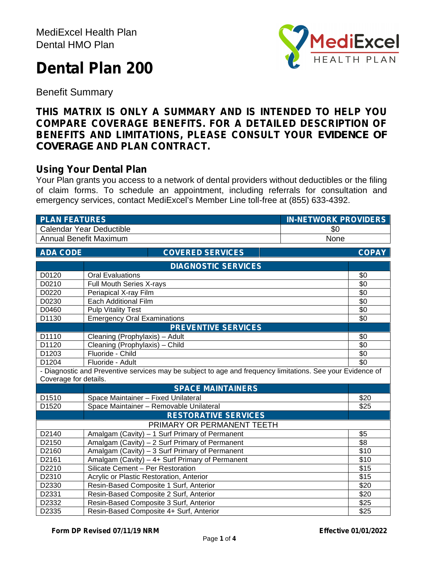# **Dental Plan 200**



Benefit Summary

# **THIS MATRIX IS ONLY A SUMMARY AND IS INTENDED TO HELP YOU COMPARE COVERAGE BENEFITS. FOR A DETAILED DESCRIPTION OF BENEFITS AND LIMITATIONS, PLEASE CONSULT YOUR** *EVIDENCE OF COVERAGE* **AND PLAN CONTRACT.**

# **Using Your Dental Plan**

Your Plan grants you access to a network of dental providers without deductibles or the filing of claim forms. To schedule an appointment, including referrals for consultation and emergency services, contact MediExcel's Member Line toll-free at (855) 633-4392.

| <b>PLAN FEATURES</b>                  |                                                                                                            | <b>IN-NETWORK PROVIDERS</b> |
|---------------------------------------|------------------------------------------------------------------------------------------------------------|-----------------------------|
|                                       | <b>Calendar Year Deductible</b>                                                                            | \$0                         |
| <b>Annual Benefit Maximum</b><br>None |                                                                                                            |                             |
| <b>ADA CODE</b>                       | <b>COVERED SERVICES</b>                                                                                    | <b>COPAY</b>                |
|                                       | <b>DIAGNOSTIC SERVICES</b>                                                                                 |                             |
| D0120                                 | <b>Oral Evaluations</b>                                                                                    | \$0                         |
| D0210                                 | Full Mouth Series X-rays                                                                                   | \$0                         |
| D0220                                 | Periapical X-ray Film                                                                                      | \$0                         |
| D0230                                 | Each Additional Film                                                                                       | \$0                         |
| D0460                                 | <b>Pulp Vitality Test</b>                                                                                  | \$0                         |
| D1130                                 | <b>Emergency Oral Examinations</b>                                                                         | \$0                         |
|                                       | <b>PREVENTIVE SERVICES</b>                                                                                 |                             |
| D1110                                 | Cleaning (Prophylaxis) - Adult                                                                             | \$0                         |
| D1120                                 | Cleaning (Prophylaxis) - Child                                                                             | \$0                         |
| D1203                                 | Fluoride - Child                                                                                           | \$0                         |
| D1204                                 | Fluoride - Adult                                                                                           | \$0                         |
|                                       | - Diagnostic and Preventive services may be subject to age and frequency limitations. See your Evidence of |                             |
| Coverage for details.                 |                                                                                                            |                             |
|                                       | <b>SPACE MAINTAINERS</b>                                                                                   |                             |
| D1510                                 | Space Maintainer - Fixed Unilateral                                                                        | \$20                        |
| D1520                                 | Space Maintainer - Removable Unilateral                                                                    | \$25                        |
|                                       | <b>RESTORATIVE SERVICES</b>                                                                                |                             |
|                                       | PRIMARY OR PERMANENT TEETH                                                                                 |                             |
| D2140                                 | Amalgam (Cavity) - 1 Surf Primary of Permanent                                                             | \$5                         |
| D2150                                 | Amalgam (Cavity) - 2 Surf Primary of Permanent                                                             | $\overline{$8$}$            |
| D2160                                 | Amalgam (Cavity) - 3 Surf Primary of Permanent                                                             | \$10                        |
| D2161                                 | Amalgam (Cavity) - 4+ Surf Primary of Permanent                                                            | $\overline{$10}$            |
| D2210                                 | Silicate Cement - Per Restoration                                                                          | $\overline{$15}$            |
| D2310                                 | Acrylic or Plastic Restoration, Anterior                                                                   | \$15                        |
| D2330                                 | Resin-Based Composite 1 Surf, Anterior                                                                     | $\overline{$20}$            |
| D2331                                 | Resin-Based Composite 2 Surf, Anterior                                                                     | $\overline{$20}$            |
| D2332                                 | Resin-Based Composite 3 Surf, Anterior                                                                     | \$25                        |
| D2335                                 | Resin-Based Composite 4+ Surf, Anterior                                                                    | \$25                        |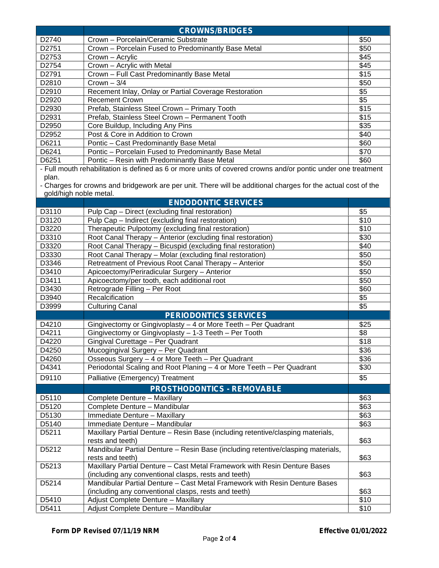|                   | <b>CROWNS/BRIDGES</b>                                 |      |
|-------------------|-------------------------------------------------------|------|
| D <sub>2740</sub> | Crown - Porcelain/Ceramic Substrate                   | \$50 |
| D2751             | Crown - Porcelain Fused to Predominantly Base Metal   | \$50 |
| D2753             | Crown – Acrylic                                       | \$45 |
| D2754             | Crown - Acrylic with Metal                            | \$45 |
| D2791             | Crown - Full Cast Predominantly Base Metal            | \$15 |
| D <sub>2810</sub> | Crown $-3/4$                                          | \$50 |
| D2910             | Recement Inlay, Onlay or Partial Coverage Restoration | \$5  |
| D2920             | <b>Recement Crown</b>                                 | \$5  |
| D2930             | Prefab, Stainless Steel Crown - Primary Tooth         | \$15 |
| D <sub>2931</sub> | Prefab, Stainless Steel Crown - Permanent Tooth       | \$15 |
| D <sub>2950</sub> | Core Buildup, Including Any Pins                      | \$35 |
| D2952             | Post & Core in Addition to Crown                      | \$40 |
| D6211             | Pontic - Cast Predominantly Base Metal                | \$60 |
| D6241             | Pontic - Porcelain Fused to Predominantly Base Metal  | \$70 |
| D6251             | Pontic - Resin with Predominantly Base Metal          | \$60 |

- Full mouth rehabilitation is defined as 6 or more units of covered crowns and/or pontic under one treatment plan.

- Charges for crowns and bridgework are per unit. There will be additional charges for the actual cost of the gold/high noble metal.

|       | <b>ENDODONTIC SERVICES</b>                                                                                                        |      |
|-------|-----------------------------------------------------------------------------------------------------------------------------------|------|
| D3110 | Pulp Cap - Direct (excluding final restoration)                                                                                   | \$5  |
| D3120 | Pulp Cap - Indirect (excluding final restoration)                                                                                 | \$10 |
| D3220 | Therapeutic Pulpotomy (excluding final restoration)                                                                               | \$10 |
| D3310 | Root Canal Therapy - Anterior (excluding final restoration)                                                                       | \$30 |
| D3320 | Root Canal Therapy - Bicuspid (excluding final restoration)                                                                       | \$40 |
| D3330 | Root Canal Therapy - Molar (excluding final restoration)                                                                          | \$50 |
| D3346 | Retreatment of Previous Root Canal Therapy - Anterior                                                                             | \$50 |
| D3410 | Apicoectomy/Periradicular Surgery - Anterior                                                                                      | \$50 |
| D3411 | Apicoectomy/per tooth, each additional root                                                                                       | \$50 |
| D3430 | Retrograde Filling - Per Root                                                                                                     | \$60 |
| D3940 | Recalcification                                                                                                                   | \$5  |
| D3999 | <b>Culturing Canal</b>                                                                                                            | \$5  |
|       | <b>PERIODONTICS SERVICES</b>                                                                                                      |      |
| D4210 | Gingivectomy or Gingivoplasty - 4 or More Teeth - Per Quadrant                                                                    | \$25 |
| D4211 | Gingivectomy or Gingivoplasty - 1-3 Teeth - Per Tooth                                                                             | \$8  |
| D4220 | Gingival Curettage - Per Quadrant                                                                                                 | \$18 |
| D4250 | Mucogingival Surgery - Per Quadrant                                                                                               | \$36 |
| D4260 | Osseous Surgery - 4 or More Teeth - Per Quadrant                                                                                  | \$36 |
| D4341 | Periodontal Scaling and Root Planing - 4 or More Teeth - Per Quadrant                                                             | \$30 |
| D9110 | Palliative (Emergency) Treatment                                                                                                  | \$5  |
|       | <b>PROSTHODONTICS - REMOVABLE</b>                                                                                                 |      |
| D5110 | Complete Denture - Maxillary                                                                                                      | \$63 |
| D5120 | Complete Denture - Mandibular                                                                                                     | \$63 |
| D5130 | Immediate Denture - Maxillary                                                                                                     | \$63 |
| D5140 | Immediate Denture - Mandibular                                                                                                    | \$63 |
| D5211 | Maxillary Partial Denture - Resin Base (including retentive/clasping materials,<br>rests and teeth)                               | \$63 |
| D5212 | Mandibular Partial Denture - Resin Base (including retentive/clasping materials,<br>rests and teeth)                              | \$63 |
| D5213 | Maxillary Partial Denture - Cast Metal Framework with Resin Denture Bases<br>(including any conventional clasps, rests and teeth) | \$63 |
| D5214 | Mandibular Partial Denture - Cast Metal Framework with Resin Denture Bases                                                        | \$63 |
| D5410 | (including any conventional clasps, rests and teeth)<br>Adjust Complete Denture - Maxillary                                       | \$10 |
| D5411 | Adjust Complete Denture - Mandibular                                                                                              | \$10 |
|       |                                                                                                                                   |      |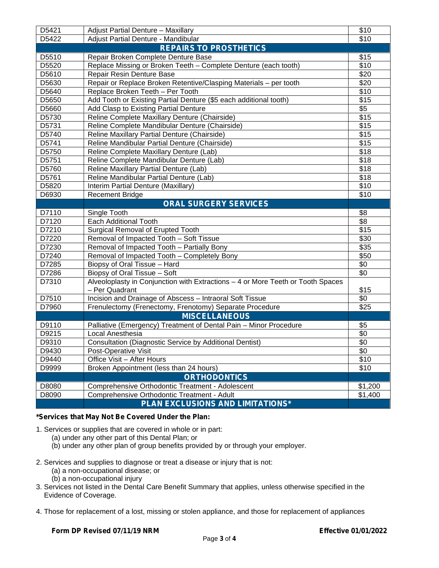| D5421 | Adjust Partial Denture - Maxillary                                                                | \$10             |
|-------|---------------------------------------------------------------------------------------------------|------------------|
| D5422 | Adjust Partial Denture - Mandibular                                                               | \$10             |
|       | <b>REPAIRS TO PROSTHETICS</b>                                                                     |                  |
| D5510 | Repair Broken Complete Denture Base                                                               | \$15             |
| D5520 | Replace Missing or Broken Teeth - Complete Denture (each tooth)                                   | $\overline{$}10$ |
| D5610 | Repair Resin Denture Base                                                                         | \$20             |
| D5630 | Repair or Replace Broken Retentive/Clasping Materials - per tooth                                 | \$20             |
| D5640 | Replace Broken Teeth - Per Tooth                                                                  | \$10             |
| D5650 | Add Tooth or Existing Partial Denture (\$5 each additional tooth)                                 | \$15             |
| D5660 | Add Clasp to Existing Partial Denture                                                             | \$5              |
| D5730 | Reline Complete Maxillary Denture (Chairside)                                                     | \$15             |
| D5731 | Reline Complete Mandibular Denture (Chairside)                                                    | \$15             |
| D5740 | Reline Maxillary Partial Denture (Chairside)                                                      | \$15             |
| D5741 | Reline Mandibular Partial Denture (Chairside)                                                     | \$15             |
| D5750 | Reline Complete Maxillary Denture (Lab)                                                           | \$18             |
| D5751 | Reline Complete Mandibular Denture (Lab)                                                          | \$18             |
| D5760 | Reline Maxillary Partial Denture (Lab)                                                            | \$18             |
| D5761 | Reline Mandibular Partial Denture (Lab)                                                           | \$18             |
| D5820 | Interim Partial Denture (Maxillary)                                                               | \$10             |
| D6930 | <b>Recement Bridge</b>                                                                            | \$10             |
|       | <b>ORAL SURGERY SERVICES</b>                                                                      |                  |
| D7110 | Single Tooth                                                                                      | \$8              |
| D7120 | Each Additional Tooth                                                                             | \$8              |
| D7210 | Surgical Removal of Erupted Tooth                                                                 | \$15             |
| D7220 | Removal of Impacted Tooth - Soft Tissue                                                           | \$30             |
| D7230 | Removal of Impacted Tooth - Partially Bony                                                        | \$35             |
| D7240 | Removal of Impacted Tooth - Completely Bony                                                       | \$50             |
| D7285 | Biopsy of Oral Tissue - Hard                                                                      | \$0              |
| D7286 | Biopsy of Oral Tissue - Soft                                                                      | \$0              |
| D7310 | Alveoloplasty in Conjunction with Extractions - 4 or More Teeth or Tooth Spaces<br>- Per Quadrant | \$15             |
| D7510 | Incision and Drainage of Abscess - Intraoral Soft Tissue                                          | \$0              |
| D7960 | Frenulectomy (Frenectomy, Frenotomy) Separate Procedure                                           | \$25             |
|       | <b>MISCELLANEOUS</b>                                                                              |                  |
| D9110 | Palliative (Emergency) Treatment of Dental Pain - Minor Procedure                                 | \$5              |
| D9215 | Local Anesthesia                                                                                  | \$0              |
| D9310 | <b>Consultation (Diagnostic Service by Additional Dentist)</b>                                    | \$0              |
| D9430 | Post-Operative Visit                                                                              | \$0              |
| D9440 | Office Visit - After Hours                                                                        | \$10             |
| D9999 | Broken Appointment (less than 24 hours)                                                           | \$10             |
|       | <b>ORTHODONTICS</b>                                                                               |                  |
| D8080 | Comprehensive Orthodontic Treatment - Adolescent                                                  | \$1,200          |
| D8090 | Comprehensive Orthodontic Treatment - Adult                                                       | \$1,400          |
|       | <b>PLAN EXCLUSIONS AND LIMITATIONS*</b>                                                           |                  |
|       |                                                                                                   |                  |

### **\*Services that May Not Be Covered Under the Plan:**

1. Services or supplies that are covered in whole or in part:

- (a) under any other part of this Dental Plan; or
- (b) under any other plan of group benefits provided by or through your employer.
- 2. Services and supplies to diagnose or treat a disease or injury that is not:
	- (a) a non-occupational disease; or
	- (b) a non-occupational injury
- 3. Services not listed in the Dental Care Benefit Summary that applies, unless otherwise specified in the Evidence of Coverage.
- 4. Those for replacement of a lost, missing or stolen appliance, and those for replacement of appliances

#### **Form DP Revised 07/11/19 NRM Effective 01/01/2022**